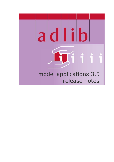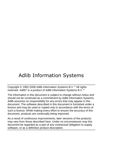# Adlib Information Systems

Copyright © 1992-2008 Adlib Information Systems B.V. ® All rights reserved. Adlib® is a product of Adlib Information Systems B.V. ®

The information in this document is subject to change without notice and should not be construed as a commitment by Adlib Information Systems. Adlib assumes no responsibility for any errors that may appear in this document. The software described in this document is furnished under a licence and may be used or copied only in accordance with the terms of such a licence. While making every effort to ensure the accuracy of this document, products are continually being improved.

As a result of continuous improvements, later versions of the products may vary from those described here. Under no circumstances may this document be regarded as a part of any contractual obligation to supply software, or as a definitive product description.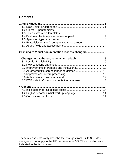### **Contents**

| 1.6 Extra fields on the Accompanying texts screen |  |
|---------------------------------------------------|--|
|                                                   |  |
|                                                   |  |
| 2 Linking to Visual documentation records changed |  |
|                                                   |  |
|                                                   |  |
|                                                   |  |
|                                                   |  |
|                                                   |  |
|                                                   |  |
|                                                   |  |
| 3.7 EXIF data in Visual documentation database13  |  |
|                                                   |  |
|                                                   |  |
|                                                   |  |
| 4.2 English becomes initial start-up language 14  |  |
|                                                   |  |

These release notes only describe the changes from 3.4 to 3.5. Most changes do not apply to the UK pre-release of 3.5. The exceptions are indicated in the texts below.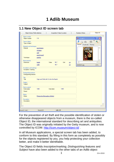## <span id="page-4-0"></span>**1 Adlib Museum**

| Object number<br>亙<br>119<br>Object number<br>Type of object<br>Type of object<br>Normal<br>Materials and techniques<br>Material<br>egg tempera<br>oil glazes<br>gold<br>panel [wood]<br>Technique<br>painting<br><b>Measurements</b><br>$\langle$<br><b>Dimension</b><br>height<br>Value<br>56.7<br>Unit<br>cm<br>width<br>40.7<br>cm<br>00000024.jpg<br>Inscriptions and markings<br>Inscription / marking<br><b>Distinguishing features</b><br><b>Distinguishing features</b><br>Title:<br>Title<br>Virgin and Child with St John the Baptist<br>Subject<br>Subject<br>Date or period<br>Date (early)<br>1488<br>Date (late)<br>1495<br>Period<br>Maker<br>Maker<br>Pinturicchio (Bernardino di Betto)<br>Description<br>Description | Object ID<br>Numbers   Notes                |
|-----------------------------------------------------------------------------------------------------------------------------------------------------------------------------------------------------------------------------------------------------------------------------------------------------------------------------------------------------------------------------------------------------------------------------------------------------------------------------------------------------------------------------------------------------------------------------------------------------------------------------------------------------------------------------------------------------------------------------------------|---------------------------------------------|
|                                                                                                                                                                                                                                                                                                                                                                                                                                                                                                                                                                                                                                                                                                                                         |                                             |
|                                                                                                                                                                                                                                                                                                                                                                                                                                                                                                                                                                                                                                                                                                                                         | $-1$ of 1<br>П                              |
|                                                                                                                                                                                                                                                                                                                                                                                                                                                                                                                                                                                                                                                                                                                                         | $\boldsymbol{\mathcal{D}}$<br>$\rightarrow$ |
|                                                                                                                                                                                                                                                                                                                                                                                                                                                                                                                                                                                                                                                                                                                                         | Thumbnails<br>Filmstrip                     |
|                                                                                                                                                                                                                                                                                                                                                                                                                                                                                                                                                                                                                                                                                                                                         |                                             |
|                                                                                                                                                                                                                                                                                                                                                                                                                                                                                                                                                                                                                                                                                                                                         | Ä.                                          |
|                                                                                                                                                                                                                                                                                                                                                                                                                                                                                                                                                                                                                                                                                                                                         |                                             |
|                                                                                                                                                                                                                                                                                                                                                                                                                                                                                                                                                                                                                                                                                                                                         |                                             |
|                                                                                                                                                                                                                                                                                                                                                                                                                                                                                                                                                                                                                                                                                                                                         |                                             |
|                                                                                                                                                                                                                                                                                                                                                                                                                                                                                                                                                                                                                                                                                                                                         |                                             |
|                                                                                                                                                                                                                                                                                                                                                                                                                                                                                                                                                                                                                                                                                                                                         |                                             |
|                                                                                                                                                                                                                                                                                                                                                                                                                                                                                                                                                                                                                                                                                                                                         | $\rightarrow$                               |
|                                                                                                                                                                                                                                                                                                                                                                                                                                                                                                                                                                                                                                                                                                                                         | 15%                                         |
|                                                                                                                                                                                                                                                                                                                                                                                                                                                                                                                                                                                                                                                                                                                                         |                                             |
|                                                                                                                                                                                                                                                                                                                                                                                                                                                                                                                                                                                                                                                                                                                                         |                                             |
|                                                                                                                                                                                                                                                                                                                                                                                                                                                                                                                                                                                                                                                                                                                                         |                                             |
|                                                                                                                                                                                                                                                                                                                                                                                                                                                                                                                                                                                                                                                                                                                                         |                                             |
|                                                                                                                                                                                                                                                                                                                                                                                                                                                                                                                                                                                                                                                                                                                                         |                                             |
|                                                                                                                                                                                                                                                                                                                                                                                                                                                                                                                                                                                                                                                                                                                                         |                                             |
|                                                                                                                                                                                                                                                                                                                                                                                                                                                                                                                                                                                                                                                                                                                                         |                                             |
|                                                                                                                                                                                                                                                                                                                                                                                                                                                                                                                                                                                                                                                                                                                                         |                                             |
|                                                                                                                                                                                                                                                                                                                                                                                                                                                                                                                                                                                                                                                                                                                                         |                                             |
|                                                                                                                                                                                                                                                                                                                                                                                                                                                                                                                                                                                                                                                                                                                                         |                                             |
|                                                                                                                                                                                                                                                                                                                                                                                                                                                                                                                                                                                                                                                                                                                                         |                                             |
|                                                                                                                                                                                                                                                                                                                                                                                                                                                                                                                                                                                                                                                                                                                                         |                                             |
| $\langle$                                                                                                                                                                                                                                                                                                                                                                                                                                                                                                                                                                                                                                                                                                                               | $\,>$                                       |
|                                                                                                                                                                                                                                                                                                                                                                                                                                                                                                                                                                                                                                                                                                                                         |                                             |

### <span id="page-4-1"></span>**1.1 New Object ID screen tab**

For the prevention of art theft and the possible identification of stolen or otherwise disappeared objects from a museum, there is the so-called Object ID, the international standard for describing art and antiquities. The Object ID was originally initiated by the Getty museum, and is now controlled by ICOM:<http://icom.museum/object-id/> .

In all Museum applications, a special screen tab has been added, to conform to this standard. By filling in this form as completely as possibly for the objects registered by you, you help protecting your collection better, and make it better identifiable.

The Object ID fields *Inscription/marking*, *Distinguishing features* and *Subject* have also been added to the other tabs of an Adlib object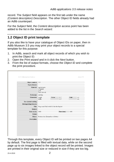record. The *Subject* field appears on the first tab under the name *(Content description) Description*. The other Object ID fields already had an Adlib counterpart.

For the *Subject* field, the *Content description* access point has been added to the list in the *Search wizard*.

### <span id="page-5-0"></span>**1.2 Object ID print template**

If you also like to have your catalogue of Object IDs on paper, then in Adlib Museum 3.5 you may print your object records to a special template for this purpose:

- 1. In Adlib, search and mark all object records of which you wish to print the Object ID.
- 2. Open the *Print wizard* and in it click the *Next* button.
- 3. From the list of output formats, choose the *Object ID* and complete the print procedure.

| Type of object:<br>Material:<br>egg tempera<br>oil glazes<br>gold<br>panel (wood)<br>Technique: painting<br>height<br>56.7<br>Dimension:<br>Value:<br>Unit:<br>cm<br>width<br>40.7<br>cm<br>Inscription/marking:<br>Distinguishing features:<br>Title: Virgin and Child with St John the Baptist<br>Subject:<br>Date (early):<br>1488<br>Date (late):<br>1495 |         | Object number: 119 |  |  |
|---------------------------------------------------------------------------------------------------------------------------------------------------------------------------------------------------------------------------------------------------------------------------------------------------------------------------------------------------------------|---------|--------------------|--|--|
|                                                                                                                                                                                                                                                                                                                                                               |         |                    |  |  |
|                                                                                                                                                                                                                                                                                                                                                               |         |                    |  |  |
|                                                                                                                                                                                                                                                                                                                                                               |         |                    |  |  |
|                                                                                                                                                                                                                                                                                                                                                               |         |                    |  |  |
|                                                                                                                                                                                                                                                                                                                                                               |         |                    |  |  |
|                                                                                                                                                                                                                                                                                                                                                               |         |                    |  |  |
|                                                                                                                                                                                                                                                                                                                                                               |         |                    |  |  |
|                                                                                                                                                                                                                                                                                                                                                               |         |                    |  |  |
|                                                                                                                                                                                                                                                                                                                                                               |         |                    |  |  |
|                                                                                                                                                                                                                                                                                                                                                               | Period: |                    |  |  |
| Maker: Pinturicchio (Bernardino di Betto)                                                                                                                                                                                                                                                                                                                     |         |                    |  |  |
| Description:                                                                                                                                                                                                                                                                                                                                                  |         |                    |  |  |

Through this template, every Object ID will be printed on two pages A4 by default. The first page is filled with textual data, while on the second page up to six images linked to the object record will be printed. Images are printed in their original size or reduced in size if they are too big.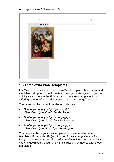

#### <span id="page-6-0"></span>**1.3 Three extra Word templates**

For Museum applications, three extra Word templates have been made available, set up as output formats in the object catalogues so you can quickly select them in the *Print wizard*. It concerns templates for a differing number of object descriptions (including image) per page.

The names of the output formats/templates are:

- *Brief object print (1 object per page) / ObjectDescriptionOneObjectPerPage.dot*
- *Brief object print (2 objects per page) / ObjectDescriptionTwoObjectsPerPage.dot*
- *Brief object print (4 objects per page) / ObjectDescriptionFourObjectsPerPage.dot*

You may also base your own templates on these ready-to-use templates. From under *FAQs* > *How do I create templates in which images can only have certain maximum dimensions?,* on our web site, you can download a document with instructions on how to alter these templates.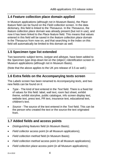#### <span id="page-7-0"></span>**1.4 Feature collection place domain applied**

In Museum applications (although not in Museum Basis), the *Place feature* field can be found on the *Field collection* screen. In the data dictionary, this field is linked to the *Thesaurus*. In the *Thesaurus*, the *feature collection place* domain was already present (but not in use), and now it has been linked to the *Place feature* field. This means that values entered in this field will be saved in the *feature collection place* domain in the *Thesaurus* from now on, and that searching in the index on this field will automatically be limited to this domain as well.

#### <span id="page-7-1"></span>**1.5 Specimen type list extended**

Two taxonomic subject terms, *isotype* and *allotype*, have been added to the *Specimen type* drop-down list on the (object ) *Identification* screen in Museum applications (although not in Museum Basis).

(Note that the above applies to the UK pre-release of 3.5 as well.)

#### <span id="page-7-2"></span>**1.6 Extra fields on the Accompanying texts screen**

The *Labels* screen has been renamed to *Accompanying texts*, and two new fields can be found on it:

- *Type* The kind of text entered in the *Text* field. There is a fixed list of values for this field: label, wall text, room fact sheet, exhibit theme, exhibit storyline, public catalogue, info screen display text, website text, press text, PR text, insurance text, educational text, children's text.
- *Source*  The source of the text entered in the *Text* field. This can be the person who created the text or the source the text originated from.

#### <span id="page-7-3"></span>**1.7 Added fields and access points**

- *Distinguishing features* field (in Museum Basis);
- *Field collector* access point (in all Museum applications);
- *Field collection method* field (in Museum Basis);
- *Field collection method* access point (in all Museum applications);
- *Field collection place* access point (in all Museum applications);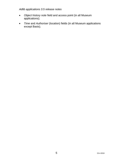- *Object history note* field and access point (in all Museum applications);
- *Time* and *Authoriser* (location) fields (in all Museum applications except Basis).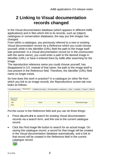## <span id="page-9-0"></span>**2 Linking to Visual documentation records changed**

In the *Visual documentation* database (which appears in different Adlib applications) and in files which link to its records, such as (object) catalogues or conservation databases, the way you link images has changed.

From within a catalogue, you previously referred to a new or existing *Visual documentation* record via a *Reference* which you could choose yourself, while in the *Identifier (URL)* field the path to the image itself was presented. In a *Visual documentation* record (or in the zoomscreen with the same name), you could enter a path to the desired image in *Identifier (URL)* or have it entered there by Adlib after searching for the image.

The reproduction reference name you could choose yourself, has disappeared in 3.5. Instead of that name, the path to the image itself is now present in the *Reference* field. Therefore, the *Identifier (URL)* field name no longer exists.

So how does this work in practice? In a catalogue (or other file from which you link to an image record), the *Reproductions* screen tab now looks as follows:

| Documentation [free] | Reproductions | Condition/conservation | Recommendations / requirements | Value | Acquisition<br>Disposal | Object his |
|----------------------|---------------|------------------------|--------------------------------|-------|-------------------------|------------|
|                      |               |                        |                                |       |                         |            |
|                      |               |                        |                                |       |                         |            |
| Reproduction         |               |                        |                                |       |                         |            |
| Reference            |               |                        |                                |       |                         |            |
| Type                 |               | Format                 | Date                           |       | Web exclusion image     |            |
| <b>Notes</b>         |               |                        |                                |       |                         |            |
|                      |               |                        |                                |       |                         |            |

Put the cursor in the *Reference* field and you can do three things:

- Press **Shift+F4** to search for existing *Visual documentation* records via a search form, and link one to the current catalogue record.
- Click the *Find image file* button to search for an actual image. On saving this catalogue record, a record for that image will be created in the *Visual documentation* database automatically, and a link to that record will be created in the *Reference* field in the current catalogue record.

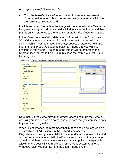• Click the *Make/edit linked record* button to create a new *Visual documentation* record via a zoomscreen and automatically link it to the current catalogue record.

In all three cases, the path to the image will be entered in the *Reference* field, even though you do not actually link directly to the image and that path is only a reference to the relevant record in *Visual documentation*.

In the *Visual documentation* database, or from within the *Zoomscreen Visual documentation*, you can link an image itself to a record in a similar fashion. Put the cursor in the *Reproduction reference* field and click the *Find image file* button to select an image that you want to describe in this record. The path to the image will be entered in the *Reproduction reference* field. So in this case the path is a direct link to the image itself.

| Reproduction data                                                                                                                                                                             | Exif data   Documentation   Linked objects   Management details                                                                                                                                                                          |
|-----------------------------------------------------------------------------------------------------------------------------------------------------------------------------------------------|------------------------------------------------------------------------------------------------------------------------------------------------------------------------------------------------------------------------------------------|
| Identification<br>Reproduction reference<br>Format<br>Reproduction type<br>Copies<br>Technique<br>Location<br>Date<br>Descriptive elements of the reproduction<br>Title<br>Creator<br>Subject | Media Viewer<br>o<br>ð<br>$\rightarrow$<br>$\rightarrow$<br>$\rightarrow$<br>$^{\circledR}$<br>Normal<br>Thumbnails<br>Filmstrip<br>$\frac{\lambda}{\Box}$<br>$\overline{\mathbf{v}}$<br>$\left  \cdot \right $<br>$\rightarrow$<br>23 % |
| Description<br>Publisher<br>Contributor<br>Source<br>Coverage<br>Rights<br>Webexclusion image<br>Notes                                                                                        | п                                                                                                                                                                                                                                        |

Note that, via the *Reproduction reference* access point (in the *Search wizard*), you now search on paths, and also note that you can use empty keys for searching with it.

When linking images, do remember that images should be located on a server which all Adlib clients in the network can access.

Only when you have just one Adlib licence, and your database is located on the same computer as Adlib itself, you can store your images there as well. And then preferably use relative paths to point to images: this allows for the possibility to move your entire Adlib system to another Windows folder without having to adjust all image paths.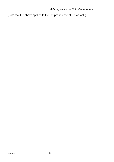(Note that the above applies to the UK pre-release of 3.5 as well.)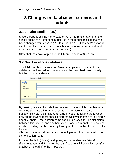## <span id="page-12-0"></span>**3 Changes in databases, screens and adapls**

### <span id="page-12-1"></span>**3.1 Locale: English (UK)**

Since Europe is still the home base of Adlib Information Systems, the *Locale* option of all database structures in the model applications has been changed from *English (US)* to *English (UK)*. (The *Locale* option is used to set the character set in which your databases are stored, and which sort and search order must be used.)

(Note that the above applies to the UK pre-release of 3.5 as well.)

#### <span id="page-12-2"></span>**3.2 New Locations database**

To all Adlib Archive, Library and Museum applications, a *Locations* database has been added. Locations can be described hierarchically, but that is not mandatory.

| Location details   Management details        |  |
|----------------------------------------------|--|
| Location<br>Location<br>Level<br>Description |  |
| Hierarchy-<br>Is part of<br>Includes part(s) |  |
| Notes:<br>Notes                              |  |

By creating hierarchical relations between locations, it is possible to put each location into a hierarchical context. Therefore, the value in the *Location* field can be limited to a name or code identifying the location only on the lowest, most specific hierarchical level. Instead of 'building X, depot Y, shelf 1', the location name can just be 'shelf 1'. The distinction between this 'shelf 1' and another 'shelf 1' location in another depot and another building can be made by looking at the hierachical context of the location.

Obviously, you are allowed to create multiple location records with the same location name.

Location fields in (object)catalogues, and in the datasets *Visual documentation*, and *Entry* and *Despatch* are now linked to this *Locations* database instead of to the *Thesaurus*.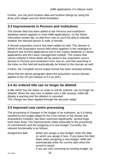Further, you can print location data and location listings by using the three print adapls and two Word templates.

#### <span id="page-13-0"></span>**3.3 Improvements in Persons and institutions**

The *Gender* field has been added to the *Persons and institutions* database (which appears in most Adlib applications), on the *Name information* screen tab, so that from now on you'll be able to indicate whether the relevant person is male or female.

A domain *acquisition source* has been added as well. This domain is linked to the *Acquisition source* field which appears in the catalogue in Museum and Archive applications and in the *Copies* database in Library applications and the Loans management module. This means that names entered in these fields will be saved in the *acquisition source* domain in *Persons and institutions* from now on, and that searching in the index on this field will automatically be limited to this domain as well.

Further, the *Complete record* output format has been renewed entirely.

(Note that the above paragraph about the *acquisition source* domain applies to the UK pre-release of 3.5 as well.)

#### <span id="page-13-1"></span>**3.4 An ordered title can no longer be deleted**

A title which has the status *on order* or *will be ordered*, can no longer be deleted. When the user tries to delete such a title anyway, Adlib will display a warning and the deletion is canceled.

The change has been applied through the *docustor* adapl.

#### <span id="page-13-2"></span>**3.5 Improved cost centre processing**

The processing of changes in the budget of an institution, as it is being handled by the *budget* adapl for the *Cost centres* in the Serials and Acquisitions modules, has been improved significantly: several bugs have been fixed. The improvements relate especially to the processing of commitments and the assigning of a new budget. Currently, the relevant functionality is as follows.

*Assignment date* When you assign a new budget, enter the date on which you assign it here. If you leave this field blank when assigning a new budget, Adlib will automatically enter the current date when the record is saved. If you are only correcting an existing budget, by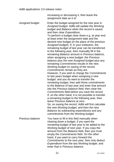increasing or decreasing it, then leave the assignment date as it is!

*Assigned budget* Enter the budget assigned for the new year in *Assigned budget*. Adlib will update the *Working budget* and *Balance* when the record is saved, and then clear *Expenditure*. To perform a budget clear down e.g. at year end, at least enter the assignment date and the desired new budget (in the place of the previous *Assigned budget*). If, in your institution, the remaining budget of last year can be transferred to the following year, then manually fill in the remaining *Balance* amount in *Previous balance,* when assigning a new budget: the *Previous balance* plus the new *Assigned budget* plus any remaining *Commitments* results in the new *Working budget* on saving of the record. *Commitments* remain as they are. However, if you wish to charge the *Commitments*  to last years budget when assigning a new budget, and you do want to transfer the remaining budget, then add those commitments to the *Balance* of last year and enter that amount into the *Previous balance* field; then clear the *Commitments* field before you save the record. If, on the other hand, it is not possible to transfer a remaining budget to the following year, then leave *Previous balance* at zero. So, on saving the record, Adlib will first calculate the new *Working budget*, and then the new *Balance* by subtracting expenditures and any commitments from the *Working budget*. *Previous balance* You have to fill in this field manually when clearing down a budget, if you want the remaining budget of last year to be added to the *Working budget* of next year. If you copy the amount from the *Balance* field, then you must empty the *Commitments* field. On the other hand, if you want to carry forward the

*Commitments* to the next year, then only deduct *Expenditure* from the last *Working budget*, and enter that in *Previous balance*.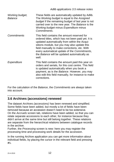| Working budget,<br>Balance | These fields are automatically updated by Adlib.<br>The Working budget is equal to the Assigned<br>budget if the remaining budget of last year is not<br>carried over to the new year. The Balance is the<br>Working budget minus Expenditure minus<br>Commitments.                                                                                         |
|----------------------------|-------------------------------------------------------------------------------------------------------------------------------------------------------------------------------------------------------------------------------------------------------------------------------------------------------------------------------------------------------------|
| Commitments                | This field contains the amount reserved for<br>ordered titles, which has not been paid yet. It is<br>updated automatically from within the Acqui-<br>sitions module, but you may also update this<br>field manually to make corrections, etc. With<br>every automatical update of the Commitments,<br>the Balance will be updated automatically as<br>well. |
| Expenditure                | This field contains the amount paid this year on<br>orders and serials, for this cost centre. This field<br>is updated automatically when you book a<br>payment, as is the Balance. However, you may<br>also edit this field manually, for instance to make<br>corrections.                                                                                 |

For the calculation of the *Balance*, the *Commitments* are always taken into account.

### <span id="page-15-0"></span>**3.6 Archives (accessions) renewed**

The dataset *Archives (accessions)* has been renewed and simplified. Some fields have been added, but mostly a lot of fields have been removed because an accession doesn't need to be too extensive. On the *Accruels* screen tab, relations have been added, so that you can relate separate accessions to each other, for instance because they didn't arrive at the same time but still belong together. These relations are separate from the hierarchical relations between catalogue records in the archive.

Further, the *Processing* screen is new: here you may register the processing time and processing work details for the accession.

In the running Archive application you can get more information about individual fields, by placing the cursor in the relevant field and pressing **F1**.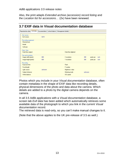Also, the print adapls *Extended archive (accession) record listing* and the *Location list for accessions*… (2x) have been renewed.

| Reproduction data                           | Exif data | Documentation Linked objects | Management details      |         |            |      |
|---------------------------------------------|-----------|------------------------------|-------------------------|---------|------------|------|
| Exif version<br>Exif version                |           | 0210                         |                         |         |            |      |
| Recording equipment<br>Manufacturer         |           |                              |                         |         |            |      |
| Model<br>Software                           |           |                              |                         |         |            |      |
| Date / time<br>Date/time original           |           |                              | Date/time digitized     |         |            |      |
| Size and resolution<br>Image width (pixels) |           | 800                          | X resolution            | 300     | pixels per | inch |
| Image height (pixels)                       |           | 600                          | Y resolution            | 300     | pixels per | inch |
| Recording<br>Exposure time                  |           |                              | Flash                   |         |            |      |
| Focal length                                |           |                              | F number                |         |            |      |
| Ligth source                                |           | unknown                      | <b>Brightness value</b> |         |            |      |
| Subject distance                            |           |                              | Metering mode           | unknown |            |      |
| White balance                               |           |                              | ISO speed               |         |            |      |

### <span id="page-16-0"></span>**3.7 EXIF data in Visual documentation database**

Photos which you include in your *Visual documentation* database, often contain metadata in the shape of EXIF data like recording details, physical dimensions of the photo and data about the camera. Which details are added to a photo by the digital camera depends on the camera.

In all 3.5 Adlib applications with a *Visual documentation* database, a screen tab *Exif data* has been added which automatically retrieves some available data of the photograph to which you link in the current *Visual documentation* record.

The retrieved data is read-only, so you can't make manual changes to it.

(Note that the above applies to the UK pre-release of 3.5 as well.)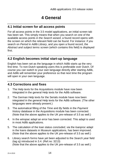### <span id="page-17-0"></span>**4 General**

#### <span id="page-17-1"></span>**4.1 Initial screen for all access points**

For all access points in the 3.5 model applications, an initial screen tab has been set. This simply means that when you search on one of the available access points in the *Search wizard*, a found record opens with the screen on which the relevant field can be found. For instance: if you search on *Period* in *Adlib Library*, and you open a found record, the *Abstract and subject terms* screen (which contains this field) is displayed first.

#### <span id="page-17-2"></span>**4.2 English becomes initial start-up language**

English has been set as the language in which Adlib starts up the very first time. To non-Dutch speaking users this is preferable over Dutch. Of course you can switch to your own language directly after starting Adlib, and Adlib will remember your preference so that next time the program will open in your own language.

#### <span id="page-17-3"></span>**4.3 Corrections and fixes**

- 1. The Help texts for the Acquisitions module have now been integrated in the general Help texts for the Adlib software.
- 2. The German Help texts for the Serials module have now been integrated in the general Help texts for the Adlib software. (The other languages were already present.)
- 3. The automatical filling of the *Time* and *By* fields in the *Payment history* database in the Acquisitions module has been corrected. (Note that the above applies to the UK pre-release of 3.5 as well.)
- 4. In the *winopac* adapl an error has been corrected. This adapl is used in most Adlib applications.
- 5. The calculation of the loan status *concluded*, via the *loanproc* adapl in the loans datasets in Museum applications, has been improved. (Note that the above applies to the UK pre-release of 3.5 as well.)
- 6. Library search forms have yet been adjusted to the *Search year* field (tag sj) introduced in 3.4. (Ref.no: 3213) (Note that the above applies to the UK pre-release of 3.5 as well.)